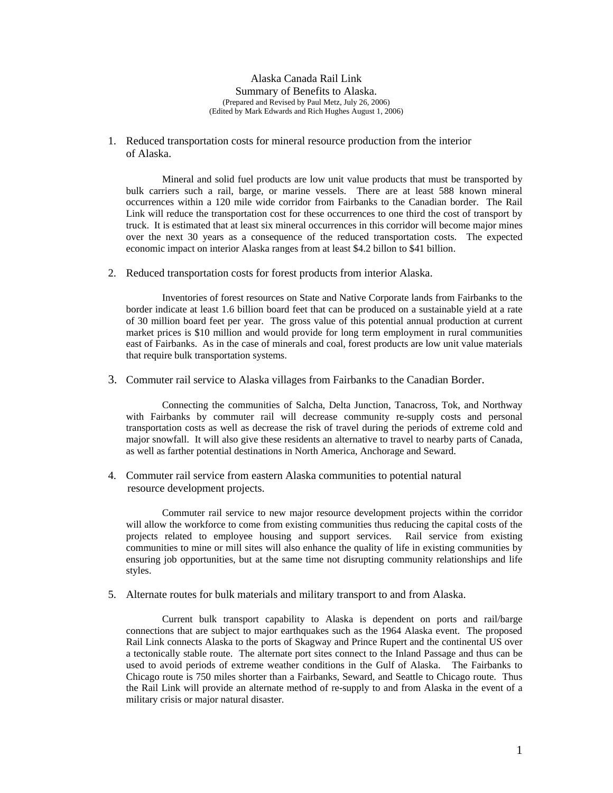Alaska Canada Rail Link Summary of Benefits to Alaska. (Prepared and Revised by Paul Metz, July 26, 2006) (Edited by Mark Edwards and Rich Hughes August 1, 2006)

1. Reduced transportation costs for mineral resource production from the interior of Alaska.

Mineral and solid fuel products are low unit value products that must be transported by bulk carriers such a rail, barge, or marine vessels. There are at least 588 known mineral occurrences within a 120 mile wide corridor from Fairbanks to the Canadian border. The Rail Link will reduce the transportation cost for these occurrences to one third the cost of transport by truck. It is estimated that at least six mineral occurrences in this corridor will become major mines over the next 30 years as a consequence of the reduced transportation costs. The expected economic impact on interior Alaska ranges from at least \$4.2 billon to \$41 billion.

2. Reduced transportation costs for forest products from interior Alaska.

Inventories of forest resources on State and Native Corporate lands from Fairbanks to the border indicate at least 1.6 billion board feet that can be produced on a sustainable yield at a rate of 30 million board feet per year. The gross value of this potential annual production at current market prices is \$10 million and would provide for long term employment in rural communities east of Fairbanks. As in the case of minerals and coal, forest products are low unit value materials that require bulk transportation systems.

3. Commuter rail service to Alaska villages from Fairbanks to the Canadian Border.

Connecting the communities of Salcha, Delta Junction, Tanacross, Tok, and Northway with Fairbanks by commuter rail will decrease community re-supply costs and personal transportation costs as well as decrease the risk of travel during the periods of extreme cold and major snowfall. It will also give these residents an alternative to travel to nearby parts of Canada, as well as farther potential destinations in North America, Anchorage and Seward.

4. Commuter rail service from eastern Alaska communities to potential natural resource development projects.

Commuter rail service to new major resource development projects within the corridor will allow the workforce to come from existing communities thus reducing the capital costs of the projects related to employee housing and support services. Rail service from existing communities to mine or mill sites will also enhance the quality of life in existing communities by ensuring job opportunities, but at the same time not disrupting community relationships and life styles.

5. Alternate routes for bulk materials and military transport to and from Alaska.

Current bulk transport capability to Alaska is dependent on ports and rail/barge connections that are subject to major earthquakes such as the 1964 Alaska event. The proposed Rail Link connects Alaska to the ports of Skagway and Prince Rupert and the continental US over a tectonically stable route. The alternate port sites connect to the Inland Passage and thus can be used to avoid periods of extreme weather conditions in the Gulf of Alaska. The Fairbanks to Chicago route is 750 miles shorter than a Fairbanks, Seward, and Seattle to Chicago route. Thus the Rail Link will provide an alternate method of re-supply to and from Alaska in the event of a military crisis or major natural disaster.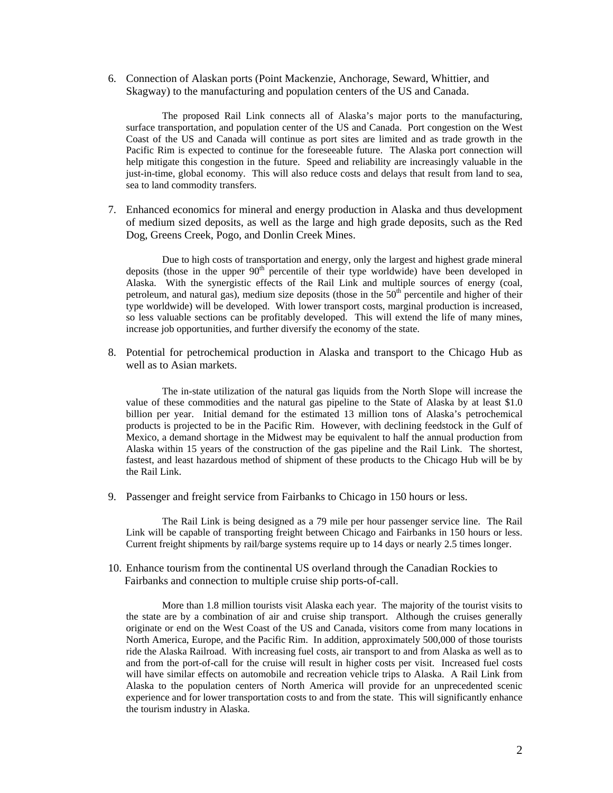6. Connection of Alaskan ports (Point Mackenzie, Anchorage, Seward, Whittier, and Skagway) to the manufacturing and population centers of the US and Canada.

The proposed Rail Link connects all of Alaska's major ports to the manufacturing, surface transportation, and population center of the US and Canada. Port congestion on the West Coast of the US and Canada will continue as port sites are limited and as trade growth in the Pacific Rim is expected to continue for the foreseeable future. The Alaska port connection will help mitigate this congestion in the future. Speed and reliability are increasingly valuable in the just-in-time, global economy. This will also reduce costs and delays that result from land to sea, sea to land commodity transfers.

7. Enhanced economics for mineral and energy production in Alaska and thus development of medium sized deposits, as well as the large and high grade deposits, such as the Red Dog, Greens Creek, Pogo, and Donlin Creek Mines.

Due to high costs of transportation and energy, only the largest and highest grade mineral deposits (those in the upper  $90<sup>th</sup>$  percentile of their type worldwide) have been developed in Alaska. With the synergistic effects of the Rail Link and multiple sources of energy (coal, petroleum, and natural gas), medium size deposits (those in the  $50<sup>th</sup>$  percentile and higher of their type worldwide) will be developed. With lower transport costs, marginal production is increased, so less valuable sections can be profitably developed. This will extend the life of many mines, increase job opportunities, and further diversify the economy of the state.

8. Potential for petrochemical production in Alaska and transport to the Chicago Hub as well as to Asian markets.

The in-state utilization of the natural gas liquids from the North Slope will increase the value of these commodities and the natural gas pipeline to the State of Alaska by at least \$1.0 billion per year. Initial demand for the estimated 13 million tons of Alaska's petrochemical products is projected to be in the Pacific Rim. However, with declining feedstock in the Gulf of Mexico, a demand shortage in the Midwest may be equivalent to half the annual production from Alaska within 15 years of the construction of the gas pipeline and the Rail Link. The shortest, fastest, and least hazardous method of shipment of these products to the Chicago Hub will be by the Rail Link.

9. Passenger and freight service from Fairbanks to Chicago in 150 hours or less.

The Rail Link is being designed as a 79 mile per hour passenger service line. The Rail Link will be capable of transporting freight between Chicago and Fairbanks in 150 hours or less. Current freight shipments by rail/barge systems require up to 14 days or nearly 2.5 times longer.

10. Enhance tourism from the continental US overland through the Canadian Rockies to Fairbanks and connection to multiple cruise ship ports-of-call.

More than 1.8 million tourists visit Alaska each year. The majority of the tourist visits to the state are by a combination of air and cruise ship transport. Although the cruises generally originate or end on the West Coast of the US and Canada, visitors come from many locations in North America, Europe, and the Pacific Rim. In addition, approximately 500,000 of those tourists ride the Alaska Railroad. With increasing fuel costs, air transport to and from Alaska as well as to and from the port-of-call for the cruise will result in higher costs per visit. Increased fuel costs will have similar effects on automobile and recreation vehicle trips to Alaska. A Rail Link from Alaska to the population centers of North America will provide for an unprecedented scenic experience and for lower transportation costs to and from the state. This will significantly enhance the tourism industry in Alaska.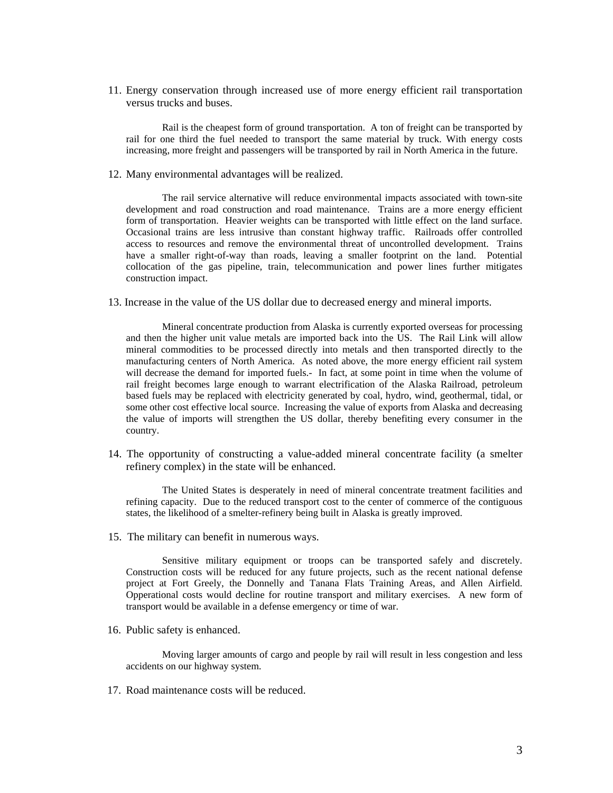11. Energy conservation through increased use of more energy efficient rail transportation versus trucks and buses.

Rail is the cheapest form of ground transportation. A ton of freight can be transported by rail for one third the fuel needed to transport the same material by truck. With energy costs increasing, more freight and passengers will be transported by rail in North America in the future.

12. Many environmental advantages will be realized.

The rail service alternative will reduce environmental impacts associated with town-site development and road construction and road maintenance. Trains are a more energy efficient form of transportation. Heavier weights can be transported with little effect on the land surface. Occasional trains are less intrusive than constant highway traffic. Railroads offer controlled access to resources and remove the environmental threat of uncontrolled development. Trains have a smaller right-of-way than roads, leaving a smaller footprint on the land. Potential collocation of the gas pipeline, train, telecommunication and power lines further mitigates construction impact.

13. Increase in the value of the US dollar due to decreased energy and mineral imports.

Mineral concentrate production from Alaska is currently exported overseas for processing and then the higher unit value metals are imported back into the US. The Rail Link will allow mineral commodities to be processed directly into metals and then transported directly to the manufacturing centers of North America. As noted above, the more energy efficient rail system will decrease the demand for imported fuels.- In fact, at some point in time when the volume of rail freight becomes large enough to warrant electrification of the Alaska Railroad, petroleum based fuels may be replaced with electricity generated by coal, hydro, wind, geothermal, tidal, or some other cost effective local source. Increasing the value of exports from Alaska and decreasing the value of imports will strengthen the US dollar, thereby benefiting every consumer in the country.

14. The opportunity of constructing a value-added mineral concentrate facility (a smelter refinery complex) in the state will be enhanced.

The United States is desperately in need of mineral concentrate treatment facilities and refining capacity. Due to the reduced transport cost to the center of commerce of the contiguous states, the likelihood of a smelter-refinery being built in Alaska is greatly improved.

15. The military can benefit in numerous ways.

 Sensitive military equipment or troops can be transported safely and discretely. Construction costs will be reduced for any future projects, such as the recent national defense project at Fort Greely, the Donnelly and Tanana Flats Training Areas, and Allen Airfield. Opperational costs would decline for routine transport and military exercises. A new form of transport would be available in a defense emergency or time of war.

16. Public safety is enhanced.

Moving larger amounts of cargo and people by rail will result in less congestion and less accidents on our highway system.

17. Road maintenance costs will be reduced.